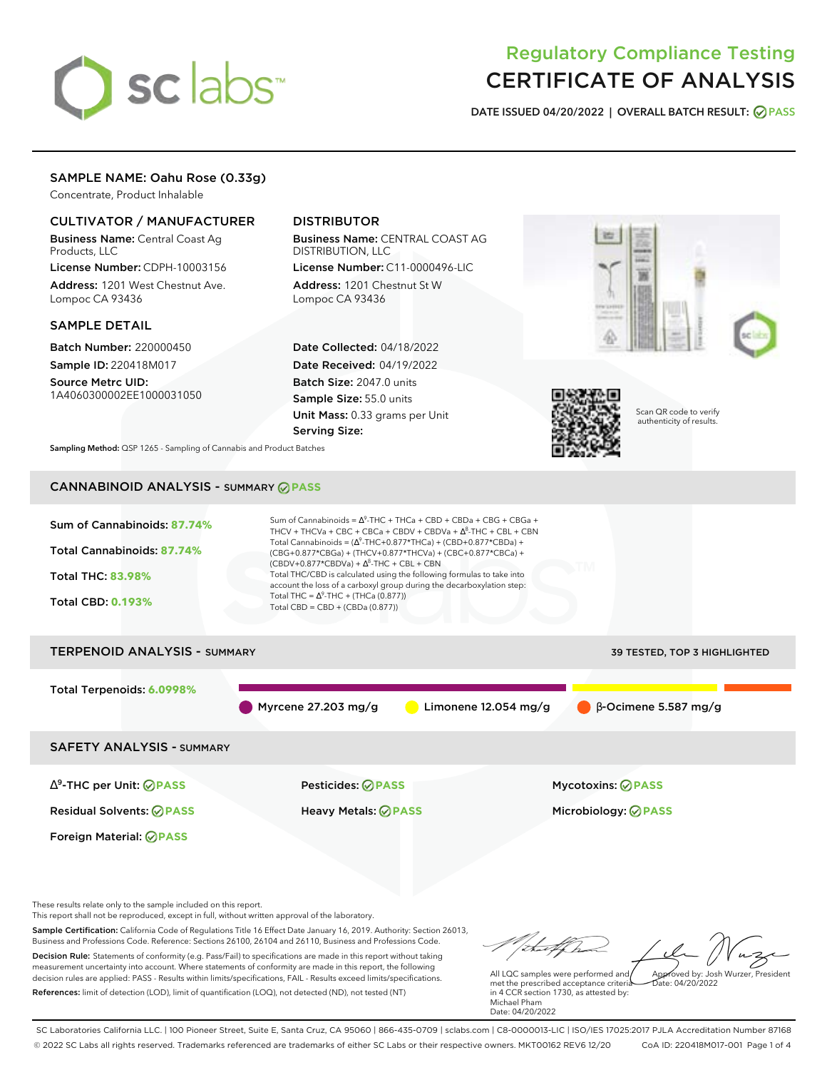# sclabs<sup>\*</sup>

## Regulatory Compliance Testing CERTIFICATE OF ANALYSIS

**DATE ISSUED 04/20/2022 | OVERALL BATCH RESULT: PASS**

## SAMPLE NAME: Oahu Rose (0.33g)

Concentrate, Product Inhalable

## CULTIVATOR / MANUFACTURER

Business Name: Central Coast Ag Products, LLC

License Number: CDPH-10003156 Address: 1201 West Chestnut Ave. Lompoc CA 93436

### SAMPLE DETAIL

Batch Number: 220000450 Sample ID: 220418M017

Source Metrc UID: 1A4060300002EE1000031050

## DISTRIBUTOR

Business Name: CENTRAL COAST AG DISTRIBUTION, LLC License Number: C11-0000496-LIC

Address: 1201 Chestnut St W Lompoc CA 93436

Date Collected: 04/18/2022 Date Received: 04/19/2022 Batch Size: 2047.0 units Sample Size: 55.0 units Unit Mass: 0.33 grams per Unit Serving Size:





Scan QR code to verify authenticity of results.

**Sampling Method:** QSP 1265 - Sampling of Cannabis and Product Batches

## CANNABINOID ANALYSIS - SUMMARY **PASS**



Myrcene 27.203 mg/g Limonene 12.054 mg/g β-Ocimene 5.587 mg/g

SAFETY ANALYSIS - SUMMARY

∆ 9 -THC per Unit: **PASS** Pesticides: **PASS** Mycotoxins: **PASS**

Foreign Material: **PASS**

Residual Solvents: **PASS** Heavy Metals: **PASS** Microbiology: **PASS**

These results relate only to the sample included on this report.

This report shall not be reproduced, except in full, without written approval of the laboratory.

Sample Certification: California Code of Regulations Title 16 Effect Date January 16, 2019. Authority: Section 26013, Business and Professions Code. Reference: Sections 26100, 26104 and 26110, Business and Professions Code. Decision Rule: Statements of conformity (e.g. Pass/Fail) to specifications are made in this report without taking measurement uncertainty into account. Where statements of conformity are made in this report, the following decision rules are applied: PASS - Results within limits/specifications, FAIL - Results exceed limits/specifications.

References: limit of detection (LOD), limit of quantification (LOQ), not detected (ND), not tested (NT)

Approved by: Josh Wurzer, President

 $hat: 04/20/2022$ 

All LQC samples were performed and met the prescribed acceptance criteria in 4 CCR section 1730, as attested by: Michael Pham Date: 04/20/2022

SC Laboratories California LLC. | 100 Pioneer Street, Suite E, Santa Cruz, CA 95060 | 866-435-0709 | sclabs.com | C8-0000013-LIC | ISO/IES 17025:2017 PJLA Accreditation Number 87168 © 2022 SC Labs all rights reserved. Trademarks referenced are trademarks of either SC Labs or their respective owners. MKT00162 REV6 12/20 CoA ID: 220418M017-001 Page 1 of 4